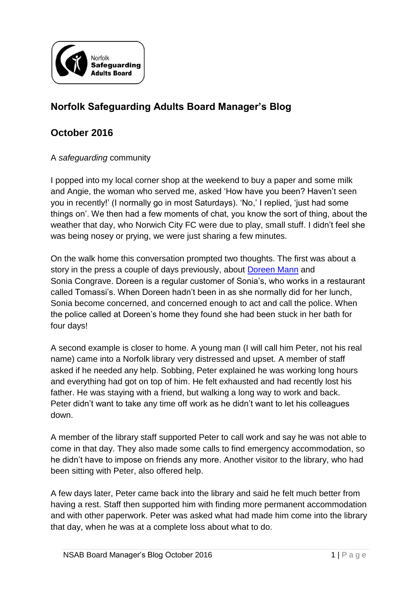

## **Norfolk Safeguarding Adults Board Manager's Blog**

## **October 2016**

A *safeguarding* community

I popped into my local corner shop at the weekend to buy a paper and some milk and Angie, the woman who served me, asked 'How have you been? Haven't seen you in recently!' (I normally go in most Saturdays). 'No,' I replied, 'just had some things on'. We then had a few moments of chat, you know the sort of thing, about the weather that day, who Norwich City FC were due to play, small stuff. I didn't feel she was being nosey or prying, we were just sharing a few minutes.

On the walk home this conversation prompted two thoughts. The first was about a story in the press a couple of days previously, about [Doreen Mann](http://www.bbc.co.uk/news/uk-england-essex-37677809) and Sonia Congrave. Doreen is a regular customer of Sonia's, who works in a restaurant called Tomassi's. When Doreen hadn't been in as she normally did for her lunch, Sonia become concerned, and concerned enough to act and call the police. When the police called at Doreen's home they found she had been stuck in her bath for four days!

A second example is closer to home. A young man (I will call him Peter, not his real name) came into a Norfolk library very distressed and upset. A member of staff asked if he needed any help. Sobbing, Peter explained he was working long hours and everything had got on top of him. He felt exhausted and had recently lost his father. He was staying with a friend, but walking a long way to work and back. Peter didn't want to take any time off work as he didn't want to let his colleagues down.

A member of the library staff supported Peter to call work and say he was not able to come in that day. They also made some calls to find emergency accommodation, so he didn't have to impose on friends any more. Another visitor to the library, who had been sitting with Peter, also offered help.

A few days later, Peter came back into the library and said he felt much better from having a rest. Staff then supported him with finding more permanent accommodation and with other paperwork. Peter was asked what had made him come into the library that day, when he was at a complete loss about what to do.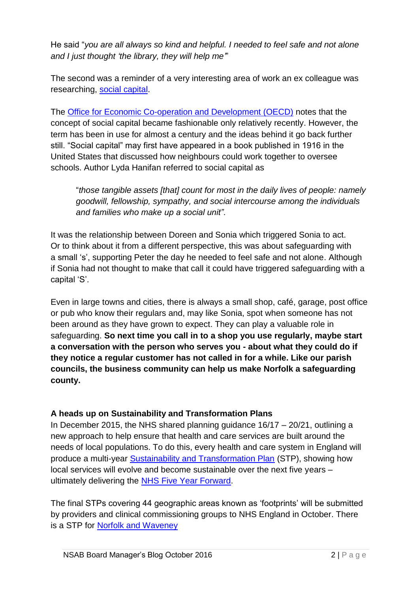He said "*you are all always so kind and helpful. I needed to feel safe and not alone and I just thought 'the library, they will help me'*"

The second was a reminder of a very interesting area of work an ex colleague was researching, [social capital.](http://webarchive.nationalarchives.gov.uk/20160105160709/http:/www.ons.gov.uk/ons/guide-method/user-guidance/social-capital-guide/the-social-capital-project/guide-to-social-capital.html)

The [Office for Economic Co-operation and Development \(OECD\)](https://www.oecd.org/insights/37966934.pdf) notes that the concept of social capital became fashionable only relatively recently. However, the term has been in use for almost a century and the ideas behind it go back further still. "Social capital" may first have appeared in a book published in 1916 in the United States that discussed how neighbours could work together to oversee schools. Author Lyda Hanifan referred to social capital as

"*those tangible assets [that] count for most in the daily lives of people: namely goodwill, fellowship, sympathy, and social intercourse among the individuals and families who make up a social unit"*.

It was the relationship between Doreen and Sonia which triggered Sonia to act. Or to think about it from a different perspective, this was about safeguarding with a small 's', supporting Peter the day he needed to feel safe and not alone. Although if Sonia had not thought to make that call it could have triggered safeguarding with a capital 'S'.

Even in large towns and cities, there is always a small shop, café, garage, post office or pub who know their regulars and, may like Sonia, spot when someone has not been around as they have grown to expect. They can play a valuable role in safeguarding. **So next time you call in to a shop you use regularly, maybe start a conversation with the person who serves you - about what they could do if they notice a regular customer has not called in for a while. Like our parish councils, the business community can help us make Norfolk a safeguarding county.**

## **A heads up on Sustainability and Transformation Plans**

In December 2015, the NHS shared planning guidance  $16/17 - 20/21$ , outlining a new approach to help ensure that health and care services are built around the needs of local populations. To do this, every health and care system in England will produce a multi-year [Sustainability and Transformation Plan](https://www.england.nhs.uk/ourwork/futurenhs/deliver-forward-view/stp/) (STP), showing how local services will evolve and become sustainable over the next five years – ultimately delivering the [NHS Five Year Forward.](https://www.england.nhs.uk/ourwork/futurenhs/)

The final STPs covering 44 geographic areas known as 'footprints' will be submitted by providers and clinical commissioning groups to NHS England in October. There is a STP for [Norfolk and Waveney](http://manager.norfolkpublications.org.uk/assets/1/stp_-_summary_of_key_elements_july_2016_v2.pdf)